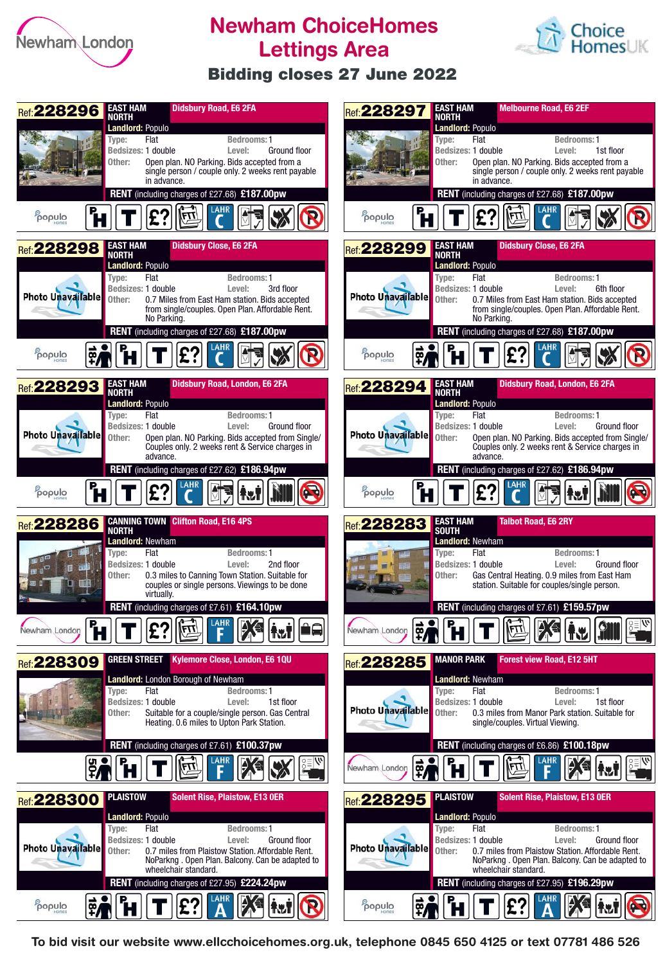



#### **Bidding closes 27 June 2022**



**To bid visit our website www.ellcchoicehomes.org.uk, telephone 0845 650 4125 or text 07781 486 526**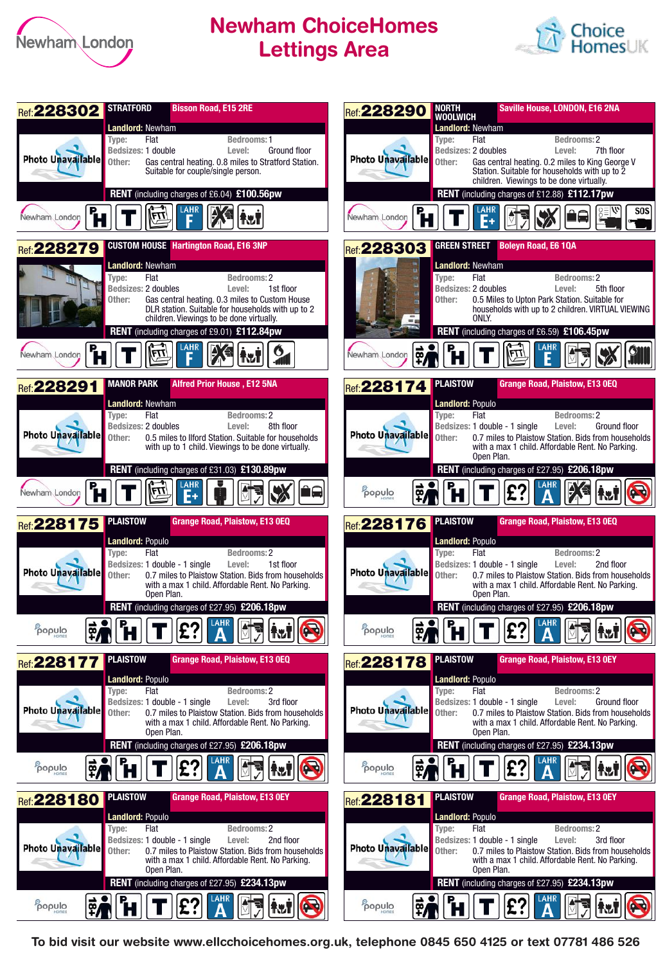



| <b>STRATFORD</b><br><b>Bisson Road, E15 2RE</b><br>Ref: 228302                                                                              | <b>NORTH</b><br>Saville House, LONDON, E16 2NA<br><b>Ref: 228290</b><br><b>WOOLWICH</b>                                                                              |
|---------------------------------------------------------------------------------------------------------------------------------------------|----------------------------------------------------------------------------------------------------------------------------------------------------------------------|
| <b>Landlord: Newham</b><br>Flat<br><b>Bedrooms: 1</b><br>Type:<br>Ground floor<br>Level:                                                    | <b>Landlord: Newham</b><br>Flat<br>Bedrooms: 2<br>Type:<br>Bedsizes: 2 doubles<br>7th floor<br>Level:                                                                |
| Bedsizes: 1 double                                                                                                                          | <b>Photo Unavailable</b>                                                                                                                                             |
| <b>Photo Unavailable</b>                                                                                                                    | Gas central heating. 0.2 miles to King George V                                                                                                                      |
| Gas central heating. 0.8 miles to Stratford Station.                                                                                        | Other:                                                                                                                                                               |
| Other:                                                                                                                                      | Station. Suitable for households with up to 2                                                                                                                        |
| Suitable for couple/single person.                                                                                                          | children. Viewings to be done virtually.                                                                                                                             |
| RENT (including charges of £6.04) £100.56pw                                                                                                 | RENT (including charges of £12.88) £112.17pw                                                                                                                         |
| Newham London                                                                                                                               | Newham London                                                                                                                                                        |
| <b>CUSTOM HOUSE</b> Hartington Road, E16 3NP<br>Ref: 228279                                                                                 | <b>GREEN STREET</b><br><b>Boleyn Road, E6 1QA</b><br><b>Ref: 228303</b>                                                                                              |
| <b>Landlord: Newham</b>                                                                                                                     | Landlord: Newham                                                                                                                                                     |
| Flat                                                                                                                                        | Flat                                                                                                                                                                 |
| Bedrooms: 2                                                                                                                                 | Bedrooms: 2                                                                                                                                                          |
| Type:                                                                                                                                       | Type:                                                                                                                                                                |
| 1st floor                                                                                                                                   | 5th floor                                                                                                                                                            |
| Bedsizes: 2 doubles                                                                                                                         | Bedsizes: 2 doubles                                                                                                                                                  |
| Level:                                                                                                                                      | Level:                                                                                                                                                               |
| Gas central heating. 0.3 miles to Custom House                                                                                              | 0.5 Miles to Upton Park Station. Suitable for                                                                                                                        |
| Other:                                                                                                                                      | Other:                                                                                                                                                               |
| DLR station. Suitable for households with up to 2                                                                                           | households with up to 2 children. VIRTUAL VIEWING                                                                                                                    |
| children. Viewings to be done virtually.                                                                                                    | ONLY.                                                                                                                                                                |
| RENT (including charges of £9.01) £112.84pw                                                                                                 | RENT (including charges of £6.59) £106.45pw                                                                                                                          |
| Newham London                                                                                                                               | 휘<br>Newham London                                                                                                                                                   |
| <b>MANOR PARK</b>                                                                                                                           | <b>PLAISTOW</b>                                                                                                                                                      |
| <b>Alfred Prior House, E12 5NA</b>                                                                                                          | <b>Grange Road, Plaistow, E13 OEQ</b>                                                                                                                                |
| Ref: 228291                                                                                                                                 | Ref: 228174                                                                                                                                                          |
| <b>Landlord: Newham</b>                                                                                                                     | <b>Landlord: Populo</b>                                                                                                                                              |
| Flat                                                                                                                                        | Flat                                                                                                                                                                 |
| <b>Bedrooms: 2</b>                                                                                                                          | Bedrooms: 2                                                                                                                                                          |
| Type:                                                                                                                                       | Type:                                                                                                                                                                |
| 8th floor                                                                                                                                   | Ground floor                                                                                                                                                         |
| Bedsizes: 2 doubles                                                                                                                         | Bedsizes: 1 double - 1 single                                                                                                                                        |
| Level:                                                                                                                                      | Level:                                                                                                                                                               |
| <b>Photo Unavailable</b>                                                                                                                    | <b>Photo Unavailable</b>                                                                                                                                             |
| Other:                                                                                                                                      | Other:                                                                                                                                                               |
| 0.5 miles to Ilford Station. Suitable for households                                                                                        | 0.7 miles to Plaistow Station. Bids from households                                                                                                                  |
| with up to 1 child. Viewings to be done virtually.                                                                                          | with a max 1 child. Affordable Rent. No Parking.                                                                                                                     |
| RENT (including charges of £31.03) £130.89pw                                                                                                | Open Plan.<br>RENT (including charges of £27.95) £206.18pw                                                                                                           |
| Newham London                                                                                                                               | Populo<br>Ή<br>œ,                                                                                                                                                    |
| <b>PLAISTOW</b>                                                                                                                             | <b>PLAISTOW</b>                                                                                                                                                      |
| Grange Road, Plaistow, E13 0EQ                                                                                                              | <b>Grange Road, Plaistow, E13 0EQ</b>                                                                                                                                |
| Ref: 228175                                                                                                                                 | Ref: 228176                                                                                                                                                          |
| <b>Landlord: Populo</b>                                                                                                                     | Landlord: Populo                                                                                                                                                     |
| Flat                                                                                                                                        | Flat                                                                                                                                                                 |
| <b>Bedrooms: 2</b>                                                                                                                          | Bedrooms: 2                                                                                                                                                          |
| Type:                                                                                                                                       | Type:                                                                                                                                                                |
| 1st floor                                                                                                                                   | 2nd floor                                                                                                                                                            |
| Bedsizes: 1 double - 1 single                                                                                                               | Bedsizes: 1 double - 1 single                                                                                                                                        |
| Level:                                                                                                                                      | Level:                                                                                                                                                               |
| Photo Unavailable                                                                                                                           | <b>Photo Unavailable</b>                                                                                                                                             |
| 0.7 miles to Plaistow Station. Bids from households                                                                                         | 0.7 miles to Plaistow Station. Bids from households                                                                                                                  |
| Other:                                                                                                                                      | Other:                                                                                                                                                               |
| with a max 1 child. Affordable Rent. No Parking.                                                                                            | with a max 1 child. Affordable Rent. No Parking.                                                                                                                     |
| Open Plan.                                                                                                                                  | Open Plan.                                                                                                                                                           |
| RENT (including charges of £27.95) £206.18pw                                                                                                | RENT (including charges of £27.95) £206.18pw                                                                                                                         |
| populo<br>Ή<br>$ \mathbf{\mathsf{E}}? $<br>$\frac{1}{2}$                                                                                    | populo<br>$ \mathbf{\Sigma}$ ?<br>I'H I<br>$\bullet$<br><b>om®</b><br>$  \mathbf{u}  $                                                                               |
| <b>PLAISTOW</b>                                                                                                                             | <b>PLAISTOW</b>                                                                                                                                                      |
| <b>Grange Road, Plaistow, E13 0EQ</b>                                                                                                       | <b>Grange Road, Plaistow, E13 OEY</b>                                                                                                                                |
| Ref: 228177                                                                                                                                 | <b>Ref: 228178</b>                                                                                                                                                   |
| <b>Landlord: Populo</b>                                                                                                                     | <b>Landlord: Populo</b>                                                                                                                                              |
| Flat                                                                                                                                        | Flat                                                                                                                                                                 |
| <b>Bedrooms: 2</b>                                                                                                                          | Bedrooms: 2                                                                                                                                                          |
| Type:                                                                                                                                       | Type:                                                                                                                                                                |
| Bedsizes: 1 double - 1 single                                                                                                               | Bedsizes: 1 double - 1 single                                                                                                                                        |
| Level:                                                                                                                                      | Ground floor                                                                                                                                                         |
| 3rd floor                                                                                                                                   | Level:                                                                                                                                                               |
| <b>Photo Unavailable</b>                                                                                                                    | <b>Photo Unavailable</b>                                                                                                                                             |
| Other:                                                                                                                                      | Other:                                                                                                                                                               |
| 0.7 miles to Plaistow Station. Bids from households                                                                                         | 0.7 miles to Plaistow Station. Bids from households                                                                                                                  |
| with a max 1 child. Affordable Rent. No Parking.                                                                                            | with a max 1 child. Affordable Rent. No Parking.                                                                                                                     |
| Open Plan.                                                                                                                                  | Open Plan.                                                                                                                                                           |
| RENT (including charges of £27.95) £206.18pw                                                                                                | RENT (including charges of £27.95) £234.13pw                                                                                                                         |
| 豌<br>$\blacktriangleright$<br>populo<br> TYZ                                                                                                | 휴<br>Populo                                                                                                                                                          |
| <b>PLAISTOW</b>                                                                                                                             | <b>PLAISTOW</b>                                                                                                                                                      |
| <b>Grange Road, Plaistow, E13 OEY</b>                                                                                                       | <b>Grange Road, Plaistow, E13 OEY</b>                                                                                                                                |
| <b>Ref: 228180</b>                                                                                                                          | <b>Ref:228181</b>                                                                                                                                                    |
| <b>Landlord: Populo</b>                                                                                                                     | <b>Landlord: Populo</b>                                                                                                                                              |
| Flat                                                                                                                                        | Flat                                                                                                                                                                 |
| <b>Bedrooms: 2</b>                                                                                                                          | Bedrooms: 2                                                                                                                                                          |
| Type:                                                                                                                                       | Type:                                                                                                                                                                |
| Bedsizes: 1 double - 1 single                                                                                                               | Bedsizes: 1 double - 1 single                                                                                                                                        |
| Level:                                                                                                                                      | Level:                                                                                                                                                               |
| 2nd floor                                                                                                                                   | 3rd floor                                                                                                                                                            |
| <b>Photo Unavailable</b>                                                                                                                    | Photo Unavailable                                                                                                                                                    |
| 0.7 miles to Plaistow Station. Bids from households                                                                                         | 0.7 miles to Plaistow Station. Bids from households                                                                                                                  |
| Other:                                                                                                                                      | Other:                                                                                                                                                               |
| with a max 1 child. Affordable Rent. No Parking.                                                                                            | with a max 1 child. Affordable Rent. No Parking.                                                                                                                     |
| Open Plan.                                                                                                                                  | Open Plan.                                                                                                                                                           |
| RENT (including charges of £27.95) £234.13pw                                                                                                | RENT (including charges of £27.95) £234.13pw                                                                                                                         |
| $\frac{1}{2}$ $\frac{1}{2}$ $\frac{1}{2}$ $\frac{1}{2}$ $\frac{1}{2}$ $\frac{1}{2}$ $\frac{1}{2}$ $\frac{1}{2}$ $\frac{1}{2}$ $\frac{1}{2}$ | $\left \frac{1}{\mathbf{F}}\right  \mathbf{H} \left  \mathbf{T} \right  \mathbf{E}$ $\left \frac{1}{\mathbf{A}}\right  \left \frac{1}{\mathbf{B}}\right  \mathbf{H}$ |
| populo                                                                                                                                      | Populo                                                                                                                                                               |

**To bid visit our website www.ellcchoicehomes.org.uk, telephone 0845 650 4125 or text 07781 486 526**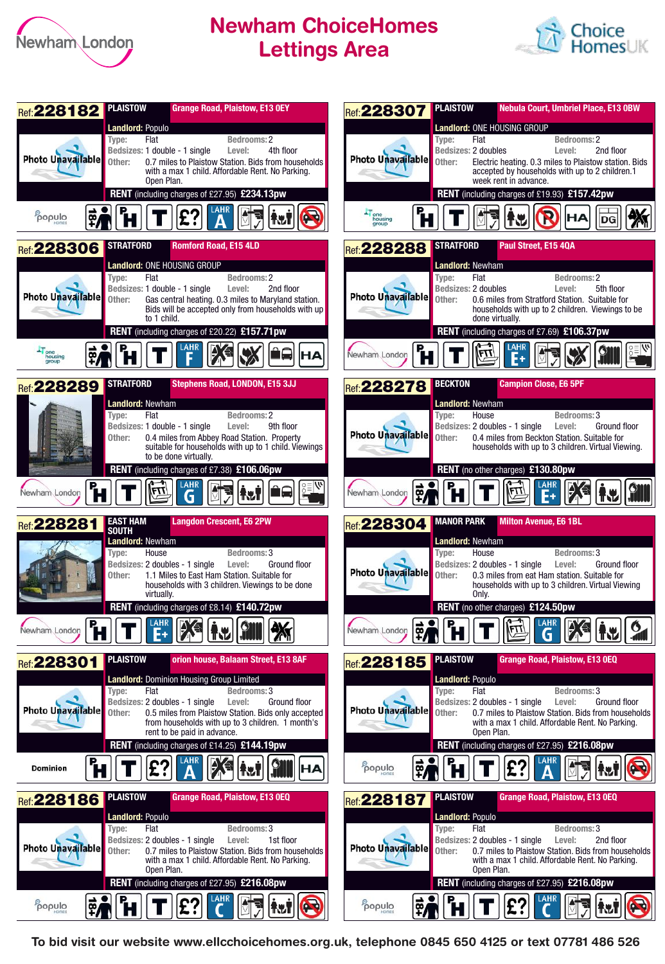



| <b>PLAISTOW</b>                                                                                                                                                                                                                                               | <b>PLAISTOW</b>                                                                                                                                                                                                                                                                                      |
|---------------------------------------------------------------------------------------------------------------------------------------------------------------------------------------------------------------------------------------------------------------|------------------------------------------------------------------------------------------------------------------------------------------------------------------------------------------------------------------------------------------------------------------------------------------------------|
| <b>Grange Road, Plaistow, E13 OEY</b>                                                                                                                                                                                                                         | Nebula Court, Umbriel Place, E13 0BW                                                                                                                                                                                                                                                                 |
| Ref: 228182                                                                                                                                                                                                                                                   | Ref: 228307                                                                                                                                                                                                                                                                                          |
| Landlord: Populo                                                                                                                                                                                                                                              | Landlord: ONE HOUSING GROUP                                                                                                                                                                                                                                                                          |
| Flat                                                                                                                                                                                                                                                          | Flat                                                                                                                                                                                                                                                                                                 |
| <b>Bedrooms: 2</b>                                                                                                                                                                                                                                            | Bedrooms: 2                                                                                                                                                                                                                                                                                          |
| Type:                                                                                                                                                                                                                                                         | Type:                                                                                                                                                                                                                                                                                                |
| 4th floor                                                                                                                                                                                                                                                     | 2nd floor                                                                                                                                                                                                                                                                                            |
| Bedsizes: 1 double - 1 single                                                                                                                                                                                                                                 | Bedsizes: 2 doubles                                                                                                                                                                                                                                                                                  |
| Level:                                                                                                                                                                                                                                                        | Level:                                                                                                                                                                                                                                                                                               |
| Photo Unavailable                                                                                                                                                                                                                                             | <b>Photo Unavailable</b>                                                                                                                                                                                                                                                                             |
| Other:                                                                                                                                                                                                                                                        | Other:                                                                                                                                                                                                                                                                                               |
| 0.7 miles to Plaistow Station. Bids from households                                                                                                                                                                                                           | Electric heating. 0.3 miles to Plaistow station. Bids                                                                                                                                                                                                                                                |
| with a max 1 child. Affordable Rent. No Parking.                                                                                                                                                                                                              | accepted by households with up to 2 children.1                                                                                                                                                                                                                                                       |
| Open Plan.                                                                                                                                                                                                                                                    | week rent in advance.                                                                                                                                                                                                                                                                                |
| RENT (including charges of £27.95) £234.13pw<br>$\vec{p}$<br>Populo                                                                                                                                                                                           | RENT (including charges of £19.93) £157.42pw<br>DG<br>group                                                                                                                                                                                                                                          |
| <b>STRATFORD</b>                                                                                                                                                                                                                                              | <b>STRATFORD</b>                                                                                                                                                                                                                                                                                     |
| <b>Romford Road, E15 4LD</b>                                                                                                                                                                                                                                  | Paul Street, E15 4QA                                                                                                                                                                                                                                                                                 |
| Ref: 228306                                                                                                                                                                                                                                                   | Ref: 228288                                                                                                                                                                                                                                                                                          |
| Landlord: ONE HOUSING GROUP                                                                                                                                                                                                                                   | <b>Landlord: Newham</b>                                                                                                                                                                                                                                                                              |
| Flat                                                                                                                                                                                                                                                          | Flat                                                                                                                                                                                                                                                                                                 |
| <b>Bedrooms: 2</b>                                                                                                                                                                                                                                            | <b>Bedrooms: 2</b>                                                                                                                                                                                                                                                                                   |
| Type:                                                                                                                                                                                                                                                         | Type:                                                                                                                                                                                                                                                                                                |
| 2nd floor                                                                                                                                                                                                                                                     | 5th floor                                                                                                                                                                                                                                                                                            |
| Bedsizes: 1 double - 1 single                                                                                                                                                                                                                                 | Bedsizes: 2 doubles                                                                                                                                                                                                                                                                                  |
| Level:                                                                                                                                                                                                                                                        | Level:                                                                                                                                                                                                                                                                                               |
| Photo Unavailable                                                                                                                                                                                                                                             | <b>Photo Unavailable</b>                                                                                                                                                                                                                                                                             |
| Other:                                                                                                                                                                                                                                                        | Other:                                                                                                                                                                                                                                                                                               |
| Gas central heating. 0.3 miles to Maryland station.                                                                                                                                                                                                           | 0.6 miles from Stratford Station. Suitable for                                                                                                                                                                                                                                                       |
| Bids will be accepted only from households with up                                                                                                                                                                                                            | households with up to 2 children. Viewings to be                                                                                                                                                                                                                                                     |
| to 1 child.                                                                                                                                                                                                                                                   | done virtually.                                                                                                                                                                                                                                                                                      |
| RENT (including charges of £20.22) £157.71pw<br>휘<br><b>HA</b>                                                                                                                                                                                                | RENT (including charges of £7.69) £106.37pw<br>Newham London                                                                                                                                                                                                                                         |
| <b>STRATFORD</b>                                                                                                                                                                                                                                              | <b>BECKTON</b>                                                                                                                                                                                                                                                                                       |
| <b>Stephens Road, LONDON, E15 3JJ</b>                                                                                                                                                                                                                         | <b>Campion Close, E6 5PF</b>                                                                                                                                                                                                                                                                         |
| Ref: 228289                                                                                                                                                                                                                                                   | Ref: 228278                                                                                                                                                                                                                                                                                          |
| <b>Landlord: Newham</b>                                                                                                                                                                                                                                       | Landlord: Newham                                                                                                                                                                                                                                                                                     |
| Flat                                                                                                                                                                                                                                                          | House                                                                                                                                                                                                                                                                                                |
| <b>Bedrooms: 2</b>                                                                                                                                                                                                                                            | Bedrooms: 3                                                                                                                                                                                                                                                                                          |
| Type:                                                                                                                                                                                                                                                         | Type:                                                                                                                                                                                                                                                                                                |
| 9th floor                                                                                                                                                                                                                                                     | Bedsizes: 2 doubles - 1 single                                                                                                                                                                                                                                                                       |
| Bedsizes: 1 double - 1 single                                                                                                                                                                                                                                 | Level:                                                                                                                                                                                                                                                                                               |
| Level:                                                                                                                                                                                                                                                        | Ground floor                                                                                                                                                                                                                                                                                         |
| 0.4 miles from Abbey Road Station. Property                                                                                                                                                                                                                   | <b>Photo Unavailable</b>                                                                                                                                                                                                                                                                             |
| Other:                                                                                                                                                                                                                                                        | 0.4 miles from Beckton Station. Suitable for                                                                                                                                                                                                                                                         |
| suitable for households with up to 1 child. Viewings                                                                                                                                                                                                          | Other:                                                                                                                                                                                                                                                                                               |
| to be done virtually.                                                                                                                                                                                                                                         | households with up to 3 children. Virtual Viewing.                                                                                                                                                                                                                                                   |
| RENT (including charges of £7.38) £106.06pw<br>Newham London                                                                                                                                                                                                  | RENT (no other charges) £130.80pw<br>$\frac{1}{2}$<br>Newham London                                                                                                                                                                                                                                  |
| <b>EAST HAM</b><br><b>Langdon Crescent, E6 2PW</b><br><b>Ref: 228281</b><br><b>SOUTH</b><br><b>Landlord: Newham</b>                                                                                                                                           | <b>MANOR PARK</b><br><b>Milton Avenue, E6 1BL</b><br>Ref: 228304<br><b>Landlord: Newham</b>                                                                                                                                                                                                          |
| Bedrooms: 3<br>House<br>Type:<br>Bedsizes: 2 doubles - 1 single<br>Level:<br>Ground floor<br>1.1 Miles to East Ham Station. Suitable for<br>Other:<br>households with 3 children. Viewings to be done<br>virtually.                                           | Bedrooms: 3<br>House<br>Type:<br>Bedsizes: 2 doubles - 1 single<br>Level:<br>Ground floor<br><b>Photo Unavailable</b><br>0.3 miles from eat Ham station. Suitable for<br>Other:<br>households with up to 3 children. Virtual Viewing<br>Only.                                                        |
| RENT (including charges of £8.14) £140.72pw<br>E - E - FOR THE SAIN PART<br>$\overline{ }$<br>Newham London                                                                                                                                                   | RENT (no other charges) £124.50pw<br>$  X^{\epsilon}  _{\mathcal{X}}  _{\mathcal{X}}$<br>H  T<br>圙<br>Newham London<br>∣ะ⁄<br>G                                                                                                                                                                      |
| <b>PLAISTOW</b>                                                                                                                                                                                                                                               | <b>PLAISTOW</b>                                                                                                                                                                                                                                                                                      |
| orion house, Balaam Street, E13 8AF                                                                                                                                                                                                                           | <b>Grange Road, Plaistow, E13 0EQ</b>                                                                                                                                                                                                                                                                |
| Ref: 228301                                                                                                                                                                                                                                                   | Ref: 228185                                                                                                                                                                                                                                                                                          |
| <b>Landlord: Dominion Housing Group Limited</b>                                                                                                                                                                                                               | <b>Landlord: Populo</b>                                                                                                                                                                                                                                                                              |
| Flat                                                                                                                                                                                                                                                          | Flat                                                                                                                                                                                                                                                                                                 |
| Bedrooms: 3                                                                                                                                                                                                                                                   | Bedrooms: 3                                                                                                                                                                                                                                                                                          |
| Type:                                                                                                                                                                                                                                                         | Type:                                                                                                                                                                                                                                                                                                |
| Bedsizes: 2 doubles - 1 single                                                                                                                                                                                                                                | Bedsizes: 2 doubles - 1 single                                                                                                                                                                                                                                                                       |
| Ground floor                                                                                                                                                                                                                                                  | Level:                                                                                                                                                                                                                                                                                               |
| Level:                                                                                                                                                                                                                                                        | Ground floor                                                                                                                                                                                                                                                                                         |
| <b>Photo Unavailable</b>                                                                                                                                                                                                                                      | <b>Photo Unavailable</b>                                                                                                                                                                                                                                                                             |
| Other:                                                                                                                                                                                                                                                        | 0.7 miles to Plaistow Station. Bids from households                                                                                                                                                                                                                                                  |
| 0.5 miles from Plaistow Station. Bids only accepted                                                                                                                                                                                                           | Other:                                                                                                                                                                                                                                                                                               |
| from households with up to 3 children. 1 month's                                                                                                                                                                                                              | with a max 1 child. Affordable Rent. No Parking.                                                                                                                                                                                                                                                     |
| rent to be paid in advance.                                                                                                                                                                                                                                   | Open Plan.                                                                                                                                                                                                                                                                                           |
| RENT (including charges of £14.25) £144.19pw<br>Dominion<br><b>HA</b><br>h Vi                                                                                                                                                                                 | RENT (including charges of £27.95) £216.08pw<br>$\bullet$<br>populo<br>'≌ٍ<br>i Vi                                                                                                                                                                                                                   |
| <b>PLAISTOW</b>                                                                                                                                                                                                                                               | <b>PLAISTOW</b>                                                                                                                                                                                                                                                                                      |
| <b>Grange Road, Plaistow, E13 0EQ</b>                                                                                                                                                                                                                         | <b>Grange Road, Plaistow, E13 0EQ</b>                                                                                                                                                                                                                                                                |
| Ref: 228186                                                                                                                                                                                                                                                   | Ref: 228187                                                                                                                                                                                                                                                                                          |
| <b>Landlord: Populo</b>                                                                                                                                                                                                                                       | <b>Landlord: Populo</b>                                                                                                                                                                                                                                                                              |
| Flat<br><b>Bedrooms: 3</b><br>Type:                                                                                                                                                                                                                           |                                                                                                                                                                                                                                                                                                      |
| Bedsizes: 2 doubles - 1 single<br>1st floor<br>Level:<br>Photo Unavailable<br>Other:<br>0.7 miles to Plaistow Station. Bids from households<br>with a max 1 child. Affordable Rent. No Parking.<br>Open Plan.<br>RENT (including charges of £27.95) £216.08pw | Flat<br>Bedrooms: 3<br>Type:<br>Bedsizes: 2 doubles - 1 single<br>Level:<br>2nd floor<br><b>Photo Unavailable</b><br>0.7 miles to Plaistow Station. Bids from households<br>Other:<br>with a max 1 child. Affordable Rent. No Parking.<br>Open Plan.<br>RENT (including charges of £27.95) £216.08pw |

**To bid visit our website www.ellcchoicehomes.org.uk, telephone 0845 650 4125 or text 07781 486 526**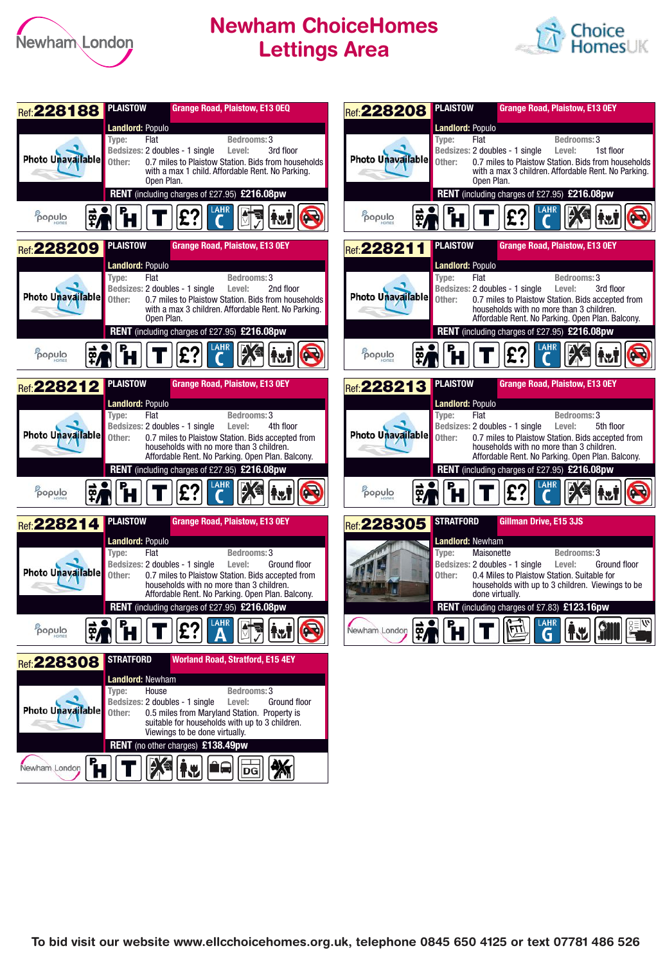



| <b>Ref: 228188 PLAISTOW</b> |                                          | Grange Road, Plaistow, E13 0EQ                                                                                                                                                                                                                                                                                                                                     |              | <b>Ref: 228208</b>       | <b>PLAISTOW</b>                       |
|-----------------------------|------------------------------------------|--------------------------------------------------------------------------------------------------------------------------------------------------------------------------------------------------------------------------------------------------------------------------------------------------------------------------------------------------------------------|--------------|--------------------------|---------------------------------------|
|                             | <b>Landlord: Populo</b>                  |                                                                                                                                                                                                                                                                                                                                                                    |              |                          | <b>Landlord: Pop</b>                  |
|                             | Type:<br>Flat                            | Bedrooms: 3                                                                                                                                                                                                                                                                                                                                                        |              |                          | Type:<br>Flat                         |
| <b>Photo Unavailable</b>    | Bedsizes: 2 doubles - 1 single<br>Other: | Level:<br>0.7 miles to Plaistow Station. Bids from households                                                                                                                                                                                                                                                                                                      | 3rd floor    | Photo Unavailable        | Bedsizes: 2 do<br>Other:<br>0.7       |
|                             |                                          | with a max 1 child. Affordable Rent. No Parking.                                                                                                                                                                                                                                                                                                                   |              |                          | with                                  |
|                             |                                          | Open Plan.                                                                                                                                                                                                                                                                                                                                                         |              |                          | <b>Ope</b>                            |
|                             |                                          | RENT (including charges of £27.95) £216.08pw                                                                                                                                                                                                                                                                                                                       |              |                          | <b>RENT</b> (includi                  |
| populo                      |                                          |                                                                                                                                                                                                                                                                                                                                                                    |              | populo                   |                                       |
| Ref: 228209                 | <b>PLAISTOW</b>                          | <b>Grange Road, Plaistow, E13 OEY</b>                                                                                                                                                                                                                                                                                                                              |              | Ref: 228211              | <b>PLAISTOW</b>                       |
|                             | <b>Landlord: Populo</b>                  |                                                                                                                                                                                                                                                                                                                                                                    |              |                          | Landlord: Pop                         |
|                             | Flat<br>Type:                            | <b>Bedrooms: 3</b>                                                                                                                                                                                                                                                                                                                                                 |              |                          | Flat<br>Type:<br>Bedsizes: 2 do       |
| <b>Photo Unavailable</b>    | Bedsizes: 2 doubles - 1 single<br>Other: | Level:<br>0.7 miles to Plaistow Station. Bids from households                                                                                                                                                                                                                                                                                                      | 2nd floor    | <b>Photo Unavailable</b> | Other:<br>0.7                         |
|                             |                                          | with a max 3 children. Affordable Rent. No Parking.                                                                                                                                                                                                                                                                                                                |              |                          | hou:                                  |
|                             |                                          | Open Plan.<br>RENT (including charges of £27.95) £216.08pw                                                                                                                                                                                                                                                                                                         |              |                          | Affo<br><b>RENT</b> (includi          |
|                             |                                          |                                                                                                                                                                                                                                                                                                                                                                    |              |                          |                                       |
| populo                      |                                          |                                                                                                                                                                                                                                                                                                                                                                    |              | populo                   |                                       |
| Ref: 228212                 | <b>PLAISTOW</b>                          | <b>Grange Road, Plaistow, E13 OEY</b>                                                                                                                                                                                                                                                                                                                              |              | Ref: 228213              | <b>PLAISTOW</b>                       |
|                             | <b>Landlord: Populo</b>                  |                                                                                                                                                                                                                                                                                                                                                                    |              |                          | Landlord: Pop                         |
|                             | Type:<br>Flat                            | <b>Bedrooms: 3</b>                                                                                                                                                                                                                                                                                                                                                 |              |                          | Type:<br>Flat                         |
|                             | Bedsizes: 2 doubles - 1 single           | Level:                                                                                                                                                                                                                                                                                                                                                             | 4th floor    |                          | Bedsizes: 2 do                        |
| <b>Photo Unavailable</b>    | Other:                                   | 0.7 miles to Plaistow Station. Bids accepted from<br>households with no more than 3 children.                                                                                                                                                                                                                                                                      |              | <b>Photo Unavailable</b> | Other:<br>0.7<br>hou:                 |
|                             |                                          | Affordable Rent. No Parking. Open Plan. Balcony.                                                                                                                                                                                                                                                                                                                   |              |                          | Affo                                  |
|                             |                                          | RENT (including charges of £27.95) £216.08pw                                                                                                                                                                                                                                                                                                                       |              |                          | <b>RENT</b> (includi                  |
| populo                      |                                          |                                                                                                                                                                                                                                                                                                                                                                    |              | populo                   |                                       |
| Ref: 228214                 | <b>PLAISTOW</b>                          | <b>Grange Road, Plaistow, E13 OEY</b>                                                                                                                                                                                                                                                                                                                              |              | Ref: 228305              | <b>STRATFORD</b>                      |
|                             |                                          |                                                                                                                                                                                                                                                                                                                                                                    |              |                          |                                       |
|                             | <b>Landlord: Populo</b><br>Flat<br>Type: | Bedrooms: 3                                                                                                                                                                                                                                                                                                                                                        |              |                          | <b>Landlord: New</b><br>Mai:<br>Type: |
|                             | Bedsizes: 2 doubles - 1 single           | Level:                                                                                                                                                                                                                                                                                                                                                             | Ground floor |                          | Bedsizes: 2 do                        |
| <b>Photo Unavailable</b>    | Other:                                   | 0.7 miles to Plaistow Station. Bids accepted from<br>households with no more than 3 children.                                                                                                                                                                                                                                                                      |              |                          | Other:<br>0.4<br>hou:                 |
|                             |                                          | Affordable Rent. No Parking. Open Plan. Balcony.                                                                                                                                                                                                                                                                                                                   |              |                          | don                                   |
|                             |                                          | RENT (including charges of £27.95) £216.08pw                                                                                                                                                                                                                                                                                                                       |              |                          | <b>RENT</b> (includi                  |
| Populo                      |                                          | <b>LAHR</b><br>$\begin{picture}(130,10) \put(0,0){\line(1,0){10}} \put(15,0){\line(1,0){10}} \put(15,0){\line(1,0){10}} \put(15,0){\line(1,0){10}} \put(15,0){\line(1,0){10}} \put(15,0){\line(1,0){10}} \put(15,0){\line(1,0){10}} \put(15,0){\line(1,0){10}} \put(15,0){\line(1,0){10}} \put(15,0){\line(1,0){10}} \put(15,0){\line(1,0){10}} \put(15,0){\line($ |              | Newnam London            |                                       |
|                             |                                          |                                                                                                                                                                                                                                                                                                                                                                    |              |                          | <b>F/ML</b><br><b>M</b>               |
| Ref: 228308                 | <b>STRATFORD</b>                         | <b>Worland Road, Stratford, E15 4EY</b>                                                                                                                                                                                                                                                                                                                            |              |                          |                                       |
|                             | <b>Landlord: Newham</b>                  |                                                                                                                                                                                                                                                                                                                                                                    |              |                          |                                       |
|                             | House<br>Type:                           | <b>Bedrooms: 3</b>                                                                                                                                                                                                                                                                                                                                                 |              |                          |                                       |
|                             | Bedsizes: 2 doubles - 1 single           | Level:                                                                                                                                                                                                                                                                                                                                                             | Ground floor |                          |                                       |
| <b>Photo Unavailable</b>    | Other:                                   | 0.5 miles from Maryland Station. Property is<br>suitable for households with up to 3 children.                                                                                                                                                                                                                                                                     |              |                          |                                       |
|                             |                                          | Viewings to be done virtually.                                                                                                                                                                                                                                                                                                                                     |              |                          |                                       |
|                             |                                          | RENT (no other charges) £138.49pw                                                                                                                                                                                                                                                                                                                                  |              |                          |                                       |
| Newham London               |                                          |                                                                                                                                                                                                                                                                                                                                                                    |              |                          |                                       |
|                             | <b>FH</b>                                | $ \mathbb{X}\mathbb{I} $ $ \mathbb{A}\mathbb{B} $ $ \mathbb{A}\mathbb{B} $<br>$\overline{d}$                                                                                                                                                                                                                                                                       |              |                          |                                       |